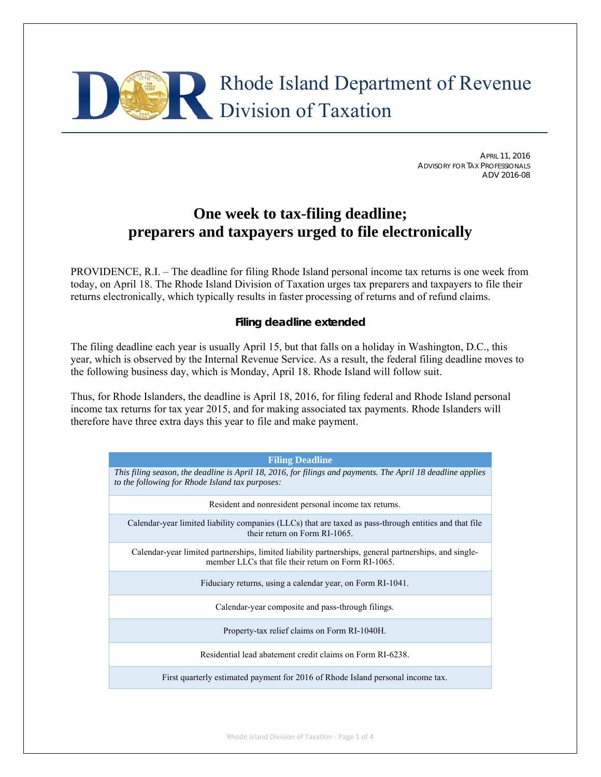

APRIL 11, 2016 ADVISORY FOR TAX PROFESSIONALS ADV 2016-08

# **One week to tax-filing deadline; preparers and taxpayers urged to file electronically**

PROVIDENCE, R.I. – The deadline for filing Rhode Island personal income tax returns is one week from today, on April 18. The Rhode Island Division of Taxation urges tax preparers and taxpayers to file their returns electronically, which typically results in faster processing of returns and of refund claims.

# **Filing deadline extended**

The filing deadline each year is usually April 15, but that falls on a holiday in Washington, D.C., this year, which is observed by the Internal Revenue Service. As a result, the federal filing deadline moves to the following business day, which is Monday, April 18. Rhode Island will follow suit.

Thus, for Rhode Islanders, the deadline is April 18, 2016, for filing federal and Rhode Island personal income tax returns for tax year 2015, and for making associated tax payments. Rhode Islanders will therefore have three extra days this year to file and make payment.

| <b>Filing Deadline</b>                                                                                                                                         |
|----------------------------------------------------------------------------------------------------------------------------------------------------------------|
| This filing season, the deadline is April 18, 2016, for filings and payments. The April 18 deadline applies<br>to the following for Rhode Island tax purposes: |
| Resident and nonresident personal income tax returns.                                                                                                          |
| Calendar-year limited liability companies (LLCs) that are taxed as pass-through entities and that file<br>their return on Form RI-1065                         |
| Calendar-year limited partnerships, limited liability partnerships, general partnerships, and single-<br>member LLCs that file their return on Form RI-1065.   |
| Fiduciary returns, using a calendar year, on Form RI-1041.                                                                                                     |
| Calendar-year composite and pass-through filings.                                                                                                              |
| Property-tax relief claims on Form RI-1040H.                                                                                                                   |
| Residential lead abatement credit claims on Form RI-6238.                                                                                                      |
| First quarterly estimated payment for 2016 of Rhode Island personal income tax.                                                                                |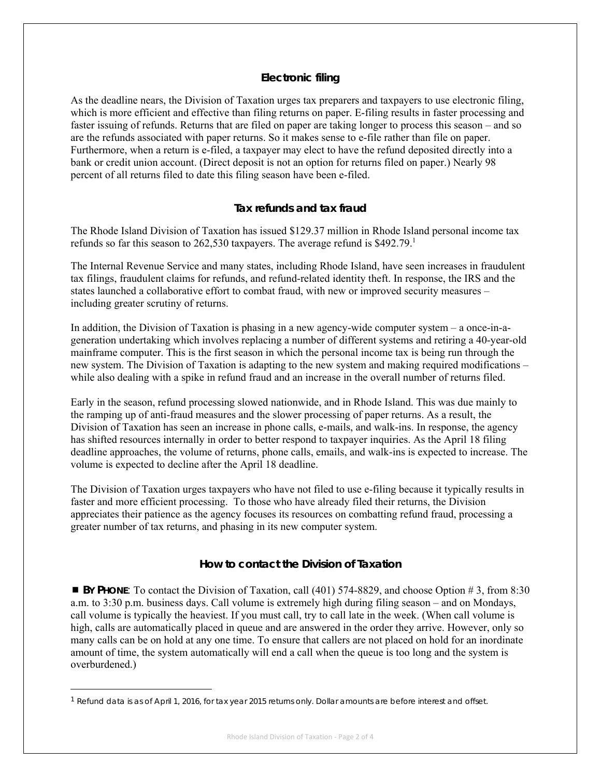## **Electronic filing**

As the deadline nears, the Division of Taxation urges tax preparers and taxpayers to use electronic filing, which is more efficient and effective than filing returns on paper. E-filing results in faster processing and faster issuing of refunds. Returns that are filed on paper are taking longer to process this season – and so are the refunds associated with paper returns. So it makes sense to e-file rather than file on paper. Furthermore, when a return is e-filed, a taxpayer may elect to have the refund deposited directly into a bank or credit union account. (Direct deposit is not an option for returns filed on paper.) Nearly 98 percent of all returns filed to date this filing season have been e-filed.

## **Tax refunds and tax fraud**

The Rhode Island Division of Taxation has issued \$129.37 million in Rhode Island personal income tax refunds so far this season to 262,530 taxpayers. The average refund is  $$492.79$ .<sup>1</sup>

The Internal Revenue Service and many states, including Rhode Island, have seen increases in fraudulent tax filings, fraudulent claims for refunds, and refund-related identity theft. In response, the IRS and the states launched a collaborative effort to combat fraud, with new or improved security measures – including greater scrutiny of returns.

In addition, the Division of Taxation is phasing in a new agency-wide computer system – a once-in-ageneration undertaking which involves replacing a number of different systems and retiring a 40-year-old mainframe computer. This is the first season in which the personal income tax is being run through the new system. The Division of Taxation is adapting to the new system and making required modifications – while also dealing with a spike in refund fraud and an increase in the overall number of returns filed.

Early in the season, refund processing slowed nationwide, and in Rhode Island. This was due mainly to the ramping up of anti-fraud measures and the slower processing of paper returns. As a result, the Division of Taxation has seen an increase in phone calls, e-mails, and walk-ins. In response, the agency has shifted resources internally in order to better respond to taxpayer inquiries. As the April 18 filing deadline approaches, the volume of returns, phone calls, emails, and walk-ins is expected to increase. The volume is expected to decline after the April 18 deadline.

The Division of Taxation urges taxpayers who have not filed to use e-filing because it typically results in faster and more efficient processing. To those who have already filed their returns, the Division appreciates their patience as the agency focuses its resources on combatting refund fraud, processing a greater number of tax returns, and phasing in its new computer system.

#### **How to contact the Division of Taxation**

■ **BY PHONE:** To contact the Division of Taxation, call (401) 574-8829, and choose Option # 3, from 8:30 a.m. to 3:30 p.m. business days. Call volume is extremely high during filing season – and on Mondays, call volume is typically the heaviest. If you must call, try to call late in the week. (When call volume is high, calls are automatically placed in queue and are answered in the order they arrive. However, only so many calls can be on hold at any one time. To ensure that callers are not placed on hold for an inordinate amount of time, the system automatically will end a call when the queue is too long and the system is overburdened.)

<sup>1</sup> Refund data is as of April 1, 2016, for tax year 2015 returns only. Dollar amounts are before interest and offset.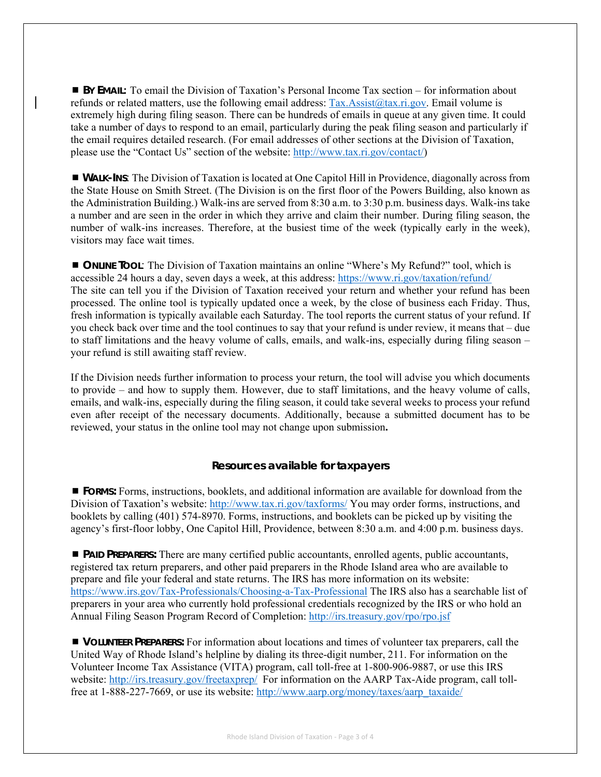**BY EMAIL:** To email the Division of Taxation's Personal Income Tax section – for information about refunds or related matters, use the following email address: Tax.Assist@tax.ri.gov. Email volume is extremely high during filing season. There can be hundreds of emails in queue at any given time. It could take a number of days to respond to an email, particularly during the peak filing season and particularly if the email requires detailed research. (For email addresses of other sections at the Division of Taxation, please use the "Contact Us" section of the website: http://www.tax.ri.gov/contact/)

 **WALK-INS**: The Division of Taxation is located at One Capitol Hill in Providence, diagonally across from the State House on Smith Street. (The Division is on the first floor of the Powers Building, also known as the Administration Building.) Walk-ins are served from 8:30 a.m. to 3:30 p.m. business days. Walk-ins take a number and are seen in the order in which they arrive and claim their number. During filing season, the number of walk-ins increases. Therefore, at the busiest time of the week (typically early in the week), visitors may face wait times.

 **ONLINE TOOL**: The Division of Taxation maintains an online "Where's My Refund?" tool, which is accessible 24 hours a day, seven days a week, at this address: https://www.ri.gov/taxation/refund/ The site can tell you if the Division of Taxation received your return and whether your refund has been processed. The online tool is typically updated once a week, by the close of business each Friday. Thus, fresh information is typically available each Saturday. The tool reports the current status of your refund. If you check back over time and the tool continues to say that your refund is under review, it means that – due to staff limitations and the heavy volume of calls, emails, and walk-ins, especially during filing season – your refund is still awaiting staff review.

If the Division needs further information to process your return, the tool will advise you which documents to provide – and how to supply them. However, due to staff limitations, and the heavy volume of calls, emails, and walk-ins, especially during the filing season, it could take several weeks to process your refund even after receipt of the necessary documents. Additionally, because a submitted document has to be reviewed, your status in the online tool may not change upon submission**.** 

#### **Resources available for taxpayers**

 **FORMS:** Forms, instructions, booklets, and additional information are available for download from the Division of Taxation's website: http://www.tax.ri.gov/taxforms/ You may order forms, instructions, and booklets by calling (401) 574-8970. Forms, instructions, and booklets can be picked up by visiting the agency's first-floor lobby, One Capitol Hill, Providence, between 8:30 a.m. and 4:00 p.m. business days.

 **PAID PREPARERS:** There are many certified public accountants, enrolled agents, public accountants, registered tax return preparers, and other paid preparers in the Rhode Island area who are available to prepare and file your federal and state returns. The IRS has more information on its website: https://www.irs.gov/Tax-Professionals/Choosing-a-Tax-Professional The IRS also has a searchable list of preparers in your area who currently hold professional credentials recognized by the IRS or who hold an Annual Filing Season Program Record of Completion: http://irs.treasury.gov/rpo/rpo.jsf

 **VOLUNTEER PREPARERS:** For information about locations and times of volunteer tax preparers, call the United Way of Rhode Island's helpline by dialing its three-digit number, 211. For information on the Volunteer Income Tax Assistance (VITA) program, call toll-free at 1-800-906-9887, or use this IRS website: http://irs.treasury.gov/freetaxprep/ For information on the AARP Tax-Aide program, call tollfree at 1-888-227-7669, or use its website: http://www.aarp.org/money/taxes/aarp\_taxaide/